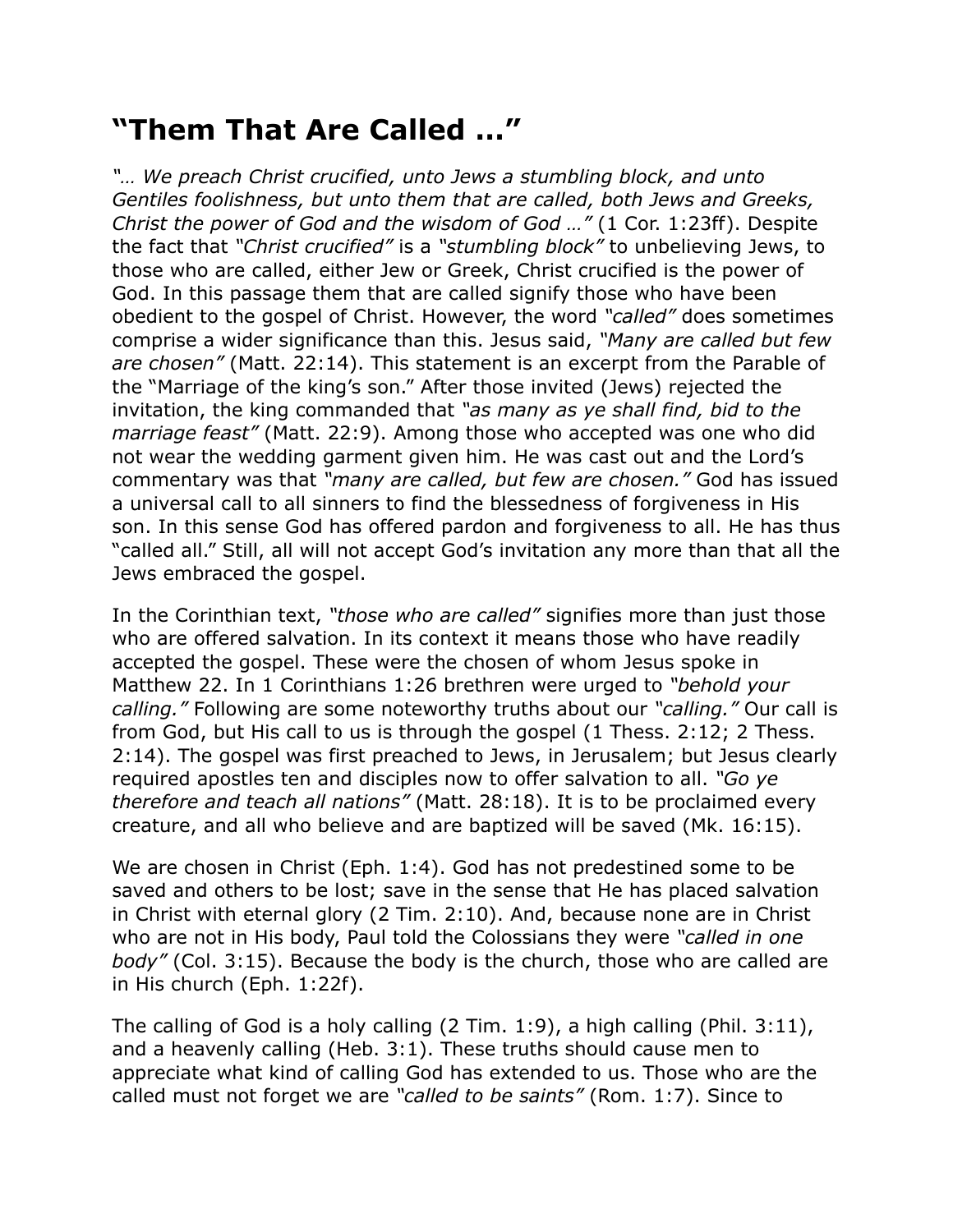## **"Them That Are Called …"**

*"… We preach Christ crucified, unto Jews a stumbling block, and unto Gentiles foolishness, but unto them that are called, both Jews and Greeks, Christ the power of God and the wisdom of God …"* (1 Cor. 1:23ff). Despite the fact that *"Christ crucified"* is a *"stumbling block"* to unbelieving Jews, to those who are called, either Jew or Greek, Christ crucified is the power of God. In this passage them that are called signify those who have been obedient to the gospel of Christ. However, the word *"called"* does sometimes comprise a wider significance than this. Jesus said, *"Many are called but few are chosen"* (Matt. 22:14). This statement is an excerpt from the Parable of the "Marriage of the king's son." After those invited (Jews) rejected the invitation, the king commanded that *"as many as ye shall find, bid to the marriage feast"* (Matt. 22:9). Among those who accepted was one who did not wear the wedding garment given him. He was cast out and the Lord's commentary was that *"many are called, but few are chosen."* God has issued a universal call to all sinners to find the blessedness of forgiveness in His son. In this sense God has offered pardon and forgiveness to all. He has thus "called all." Still, all will not accept God's invitation any more than that all the Jews embraced the gospel.

In the Corinthian text, *"those who are called"* signifies more than just those who are offered salvation. In its context it means those who have readily accepted the gospel. These were the chosen of whom Jesus spoke in Matthew 22. In 1 Corinthians 1:26 brethren were urged to *"behold your calling."* Following are some noteworthy truths about our *"calling."* Our call is from God, but His call to us is through the gospel (1 Thess. 2:12; 2 Thess. 2:14). The gospel was first preached to Jews, in Jerusalem; but Jesus clearly required apostles ten and disciples now to offer salvation to all. *"Go ye therefore and teach all nations"* (Matt. 28:18). It is to be proclaimed every creature, and all who believe and are baptized will be saved (Mk. 16:15).

We are chosen in Christ (Eph. 1:4). God has not predestined some to be saved and others to be lost; save in the sense that He has placed salvation in Christ with eternal glory (2 Tim. 2:10). And, because none are in Christ who are not in His body, Paul told the Colossians they were *"called in one body"* (Col. 3:15). Because the body is the church, those who are called are in His church (Eph. 1:22f).

The calling of God is a holy calling (2 Tim. 1:9), a high calling (Phil. 3:11), and a heavenly calling (Heb. 3:1). These truths should cause men to appreciate what kind of calling God has extended to us. Those who are the called must not forget we are *"called to be saints"* (Rom. 1:7). Since to